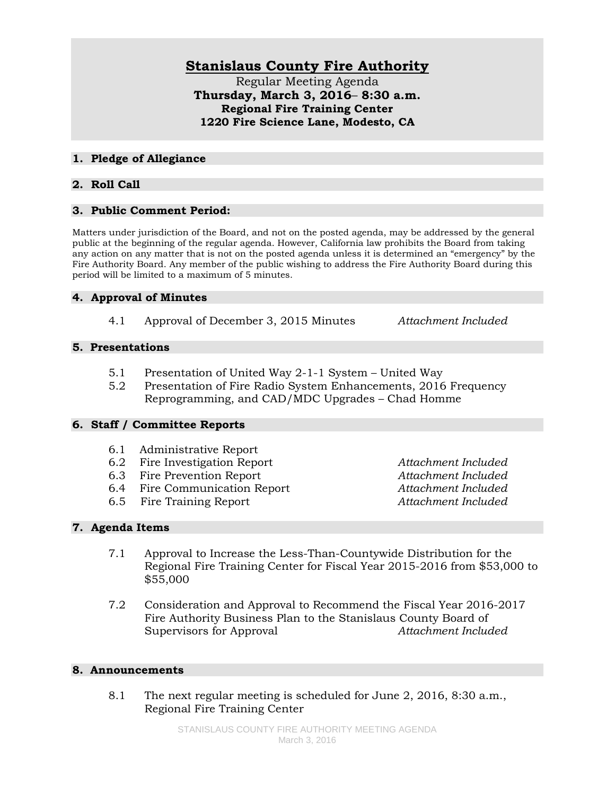# **Stanislaus County Fire Authority**

Regular Meeting Agenda **Thursday, March 3, 2016**– **8:30 a.m. Regional Fire Training Center 1220 Fire Science Lane, Modesto, CA**

#### **1. Pledge of Allegiance**

## **2. Roll Call**

## **3. Public Comment Period:**

Matters under jurisdiction of the Board, and not on the posted agenda, may be addressed by the general public at the beginning of the regular agenda. However, California law prohibits the Board from taking any action on any matter that is not on the posted agenda unless it is determined an "emergency" by the Fire Authority Board. Any member of the public wishing to address the Fire Authority Board during this period will be limited to a maximum of 5 minutes.

## **4. Approval of Minutes**

4.1 Approval of December 3, 2015 Minutes *Attachment Included*

## **5. Presentations**

- 5.1 Presentation of United Way 2-1-1 System United Way
- 5.2 Presentation of Fire Radio System Enhancements, 2016 Frequency Reprogramming, and CAD/MDC Upgrades – Chad Homme

#### **6. Staff / Committee Reports**

- 6.1 Administrative Report
- 6.2 Fire Investigation Report *Attachment Included*
- 6.3 Fire Prevention Report *Attachment Included*
- 6.4 Fire Communication Report *Attachment Included*
- 6.5 Fire Training Report *Attachment Included*

## **7. Agenda Items**

- 7.1 Approval to Increase the Less-Than-Countywide Distribution for the Regional Fire Training Center for Fiscal Year 2015-2016 from \$53,000 to \$55,000
- 7.2 Consideration and Approval to Recommend the Fiscal Year 2016-2017 Fire Authority Business Plan to the Stanislaus County Board of Supervisors for Approval *Attachment Included*

#### **8. Announcements**

8.1 The next regular meeting is scheduled for June 2, 2016, 8:30 a.m., Regional Fire Training Center